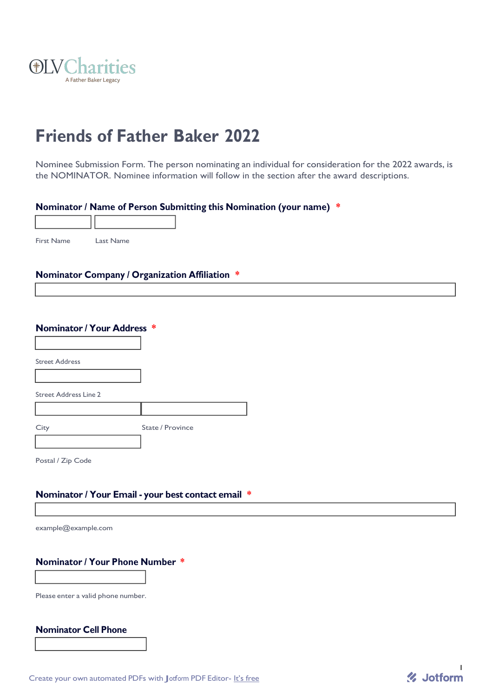

# **Friends of Father Baker 2022**

Nominee Submission Form. The person nominating an individual for consideration for the 2022 awards, is the NOMINATOR. Nominee information will follow in the section after the award descriptions.

## **Nominator / Name of Person Submitting this Nomination (your name) \***

First Name Last Name

#### **Nominator Company / Organization Affiliation \***

Street Address

Street Address Line 2

City **State / Province** 

Postal / Zip Code

#### **Nominator / Your Email - your best contact email \***

[example@example.com](mailto:example@example.com)

## **Nominator / Your Phone Number \***

Please enter a valid phone number.

# **Nominator Cell Phone**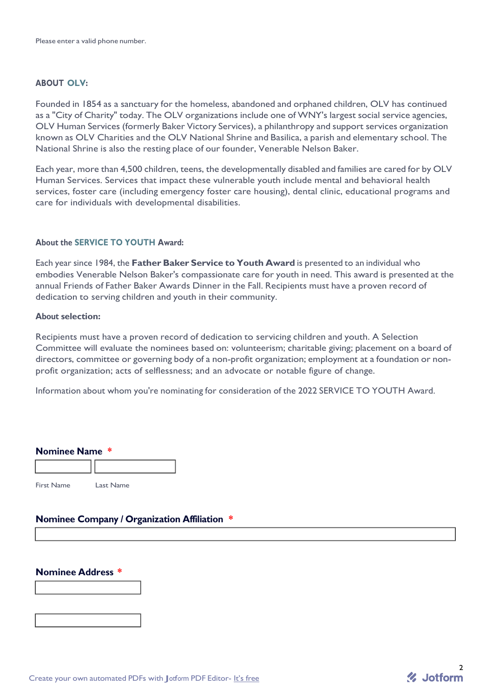#### **ABOUT OLV:**

Founded in 1854 as a sanctuary for the homeless, abandoned and orphaned children, OLV has continued as a "City of Charity" today. The OLV organizations include one of WNY's largest social service agencies, OLV Human Services (formerly Baker Victory Services), a philanthropy and support services organization known as OLV Charities and the OLV National Shrine and Basilica, a parish and elementary school. The National Shrine is also the resting place of our founder, Venerable Nelson Baker.

Each year, more than 4,500 children, teens, the developmentally disabled and families are cared for by OLV Human Services. Services that impact these vulnerable youth include mental and behavioral health services, foster care (including emergency foster care housing), dental clinic, educational programs and care for individuals with developmental disabilities.

#### **About the SERVICE TO YOUTH Award:**

Each year since 1984, the **Father Baker Service to Youth Award** is presented to an individual who embodies Venerable Nelson Baker's compassionate care for youth in need. This award is presented at the annual Friends of Father Baker Awards Dinner in the Fall. Recipients must have a proven record of dedication to serving children and youth in their community.

#### **About selection:**

Recipients must have a proven record of dedication to servicing children and youth. A Selection Committee will evaluate the nominees based on: volunteerism; charitable giving; placement on a board of directors, committee or governing body of a non-profit organization; employment at a foundation or nonprofit organization; acts of selflessness; and an advocate or notable figure of change.

Information about whom you're nominating for consideration of the 2022 SERVICE TO YOUTH Award.

| <b>Nominee Name *</b> |  |
|-----------------------|--|
|                       |  |
|                       |  |

First Name Last Name

## **Nominee Company / Organization Affiliation \***

## **Nominee Address \***

Create your own automated PDFs with Jotform PDF Editor- It's free